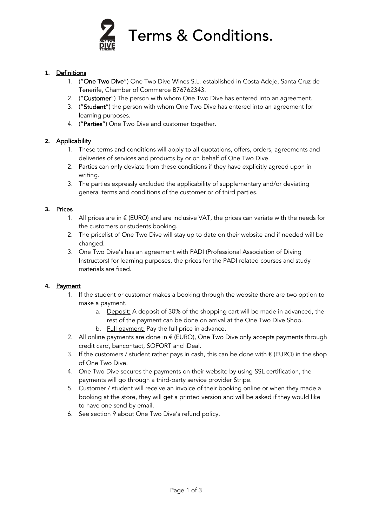

#### **1.** Definitions

- 1. ("One Two Dive") One Two Dive Wines S.L. established in Costa Adeje, Santa Cruz de Tenerife, Chamber of Commerce B76762343.
- 2. ("Customer") The person with whom One Two Dive has entered into an agreement.
- 3. ("Student") the person with whom One Two Dive has entered into an agreement for learning purposes.
- 4. ("Parties") One Two Dive and customer together.

## **2.** Applicability

- 1. These terms and conditions will apply to all quotations, offers, orders, agreements and deliveries of services and products by or on behalf of One Two Dive.
- 2. Parties can only deviate from these conditions if they have explicitly agreed upon in writing.
- 3. The parties expressly excluded the applicability of supplementary and/or deviating general terms and conditions of the customer or of third parties.

#### **3.** Prices

- 1. All prices are in  $\epsilon$  (EURO) and are inclusive VAT, the prices can variate with the needs for the customers or students booking.
- 2. The pricelist of One Two Dive will stay up to date on their website and if needed will be changed.
- 3. One Two Dive's has an agreement with PADI (Professional Association of Diving Instructors) for learning purposes, the prices for the PADI related courses and study materials are fixed.

#### **4.** Payment

- 1. If the student or customer makes a booking through the website there are two option to make a payment.
	- a. Deposit: A deposit of 30% of the shopping cart will be made in advanced, the rest of the payment can be done on arrival at the One Two Dive Shop.
	- b. Full payment: Pay the full price in advance.
- 2. All online payments are done in  $\epsilon$  (EURO), One Two Dive only accepts payments through credit card, bancontact, SOFORT and iDeal.
- 3. If the customers / student rather pays in cash, this can be done with  $\epsilon$  (EURO) in the shop of One Two Dive.
- 4. One Two Dive secures the payments on their website by using SSL certification, the payments will go through a third-party service provider Stripe.
- 5. Customer / student will receive an invoice of their booking online or when they made a booking at the store, they will get a printed version and will be asked if they would like to have one send by email.
- 6. See section 9 about One Two Dive's refund policy.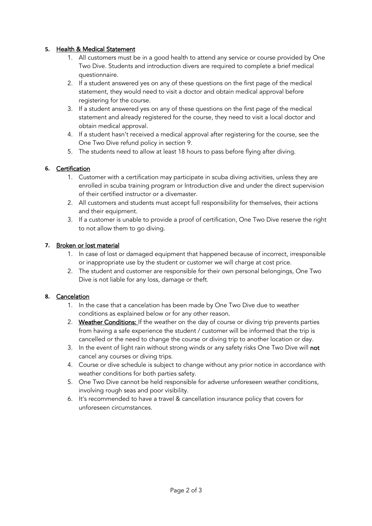## **5.** Health & Medical Statement

- 1. All customers must be in a good health to attend any service or course provided by One Two Dive. Students and introduction divers are required to complete a brief medical questionnaire.
- 2. If a student answered yes on any of these questions on the first page of the medical statement, they would need to visit a doctor and obtain medical approval before registering for the course.
- 3. If a student answered yes on any of these questions on the first page of the medical statement and already registered for the course, they need to visit a local doctor and obtain medical approval.
- 4. If a student hasn't received a medical approval after registering for the course, see the One Two Dive refund policy in section 9.
- 5. The students need to allow at least 18 hours to pass before flying after diving.

# **6.** Certification

- 1. Customer with a certification may participate in scuba diving activities, unless they are enrolled in scuba training program or Introduction dive and under the direct supervision of their certified instructor or a divemaster.
- 2. All customers and students must accept full responsibility for themselves, their actions and their equipment.
- 3. If a customer is unable to provide a proof of certification, One Two Dive reserve the right to not allow them to go diving.

# **7.** Broken or lost material

- 1. In case of lost or damaged equipment that happened because of incorrect, irresponsible or inappropriate use by the student or customer we will charge at cost price.
- 2. The student and customer are responsible for their own personal belongings, One Two Dive is not liable for any loss, damage or theft.

## **8.** Cancelation

- 1. In the case that a cancelation has been made by One Two Dive due to weather conditions as explained below or for any other reason.
- 2. Weather Conditions: If the weather on the day of course or diving trip prevents parties from having a safe experience the student / customer will be informed that the trip is cancelled or the need to change the course or diving trip to another location or day.
- 3. In the event of light rain without strong winds or any safety risks One Two Dive will not cancel any courses or diving trips.
- 4. Course or dive schedule is subject to change without any prior notice in accordance with weather conditions for both parties safety.
- 5. One Two Dive cannot be held responsible for adverse unforeseen weather conditions, involving rough seas and poor visibility.
- 6. It's recommended to have a travel & cancellation insurance policy that covers for unforeseen circumstances.